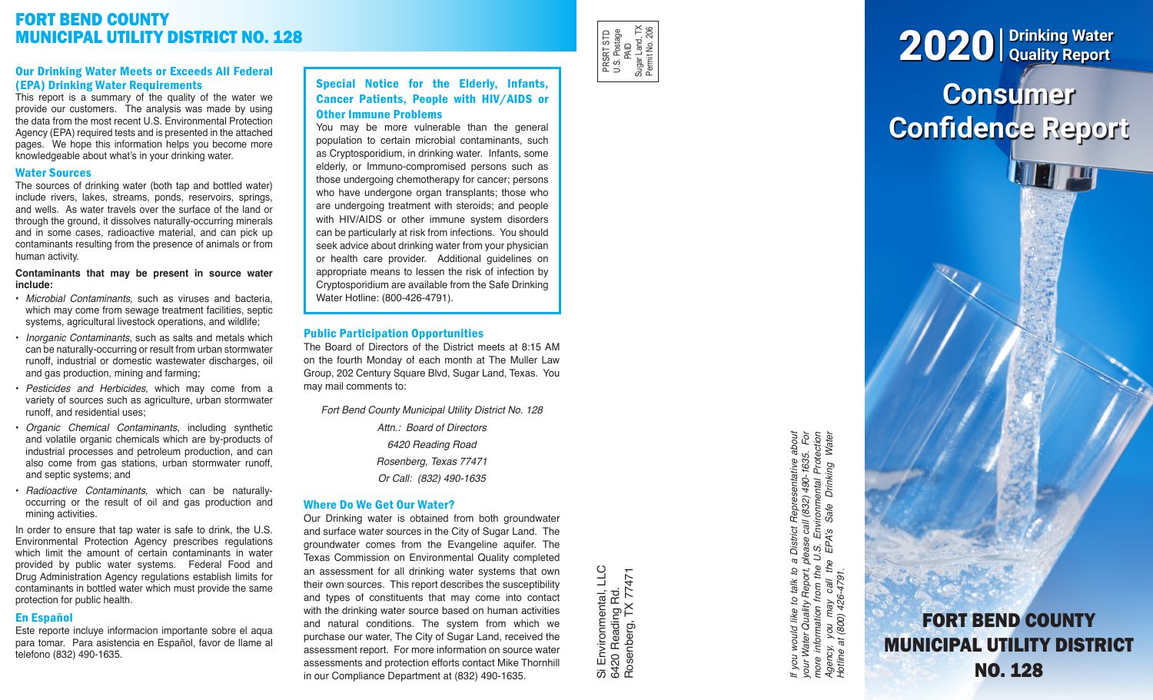# FORT BEND COUNTY MUNICIPAL UTILITY DISTRICT NO. 128

## Our Drinking Water Meets or Exceeds All Federal (EPA) Drinking Water Requirements

This report is a summary of the quality of the water we provide our customers. The analysis was made by using the data from the most recent U.S. Environmental Protection Agency (EPA) required tests and is presented in the attached pages. We hope this information helps you become more knowledgeable about what's in your drinking water.

# Water Sources

The sources of drinking water (both tap and bottled water) include rivers, lakes, streams, ponds, reservoirs, springs, and wells. As water travels over the surface of the land or through the ground, it dissolves naturally-occurring minerals and in some cases, radioactive material, and can pick up contaminants resulting from the presence of animals or from human activity.

#### **Contaminants that may be present in source water include:**

- *Microbial Contaminants*, such as viruses and bacteria, which may come from sewage treatment facilities, septic systems, agricultural livestock operations, and wildlife;
- *Inorganic Contaminants*, such as salts and metals which can be naturally-occurring or result from urban stormwater runoff, industrial or domestic wastewater discharges, oil and gas production, mining and farming;
- *Pesticides and Herbicides*, which may come from a variety of sources such as agriculture, urban stormwater runoff, and residential uses;
- *Organic Chemical Contaminants*, including synthetic and volatile organic chemicals which are by-products of industrial processes and petroleum production, and can also come from gas stations, urban stormwater runoff, and septic systems; and
- *Radioactive Contaminants*, which can be naturallyoccurring or the result of oil and gas production and mining activities.

In order to ensure that tap water is safe to drink, the U.S. Environmental Protection Agency prescribes regulations which limit the amount of certain contaminants in water provided by public water systems. Federal Food and Drug Administration Agency regulations establish limits for contaminants in bottled water which must provide the same protection for public health.

# En Español

Este reporte incluye informacion importante sobre el aqua para tomar. Para asistencia en Español, favor de llame al telefono (832) 490-1635.

# Special Notice for the Elderly, Infants, Cancer Patients, People with HIV/AIDS or Other Immune Problems

You may be more vulnerable than the general population to certain microbial contaminants, such as Cryptosporidium, in drinking water. Infants, some elderly, or Immuno-compromised persons such as those undergoing chemotherapy for cancer; persons who have undergone organ transplants; those who are undergoing treatment with steroids; and people with HIV/AIDS or other immune system disorders can be particularly at risk from infections. You should seek advice about drinking water from your physician or health care provider. Additional guidelines on appropriate means to lessen the risk of infection by Cryptosporidium are available from the Safe Drinking Water Hotline: (800-426-4791).

# Public Participation Opportunities

The Board of Directors of the District meets at 8:15 AM on the fourth Monday of each month at The Muller Law Group, 202 Century Square Blvd, Sugar Land, Texas. You may mail comments to:

*Fort Bend County Municipal Utility District No. 128*

*Attn.: Board of Directors 6420 Reading Road Rosenberg, Texas 77471 Or Call: (832) 490-1635*

# Where Do We Get Our Water?

Our Drinking water is obtained from both groundwater and surface water sources in the City of Sugar Land. The groundwater comes from the Evangeline aquifer. The Texas Commission on Environmental Quality completed an assessment for all drinking water systems that own their own sources. This report describes the susceptibility and types of constituents that may come into contact with the drinking water source based on human activities and natural conditions. The system from which we purchase our water, The City of Sugar Land, received the assessment report. For more information on source water assessments and protection efforts contact Mike Thornhill in our Compliance Department at (832) 490-1635.

Si Environmental, LLC<br>6420 Reading Rd.<br>Rosenberg, TX 77471 Si Environmental, LLC Rosenberg, TX 77471 6420 Reading Rd.

PRSRT STD U.S. Postage PRSRT STD<br>U.S. Postage<br>PAID<br>Sugar Land, TX<br>Pemit No. 206 Sugar Land, TX Permit No. 206

> If you would like to talk to a District Representative about<br>your Water Quality Report, please call (832) 490-1635. For<br>more information from the U.S. Environmental Protection<br>Agency, you may call the EPA's Safe Drinking W *If you would like to talk to a District Representative about your Water Quality Report, please call (832) 490-1635. For more information from the U.S. Environmental Protection Agency, you may call the EPA's Safe Drinking Water Hotline at (800) 426-4791.*

# **Consumer Confidence Report** 2020 **Drinking Water Quality Report**

FORT BEND COUNTY

MUNICIPAL UTILITY DISTRICT

NO. 128